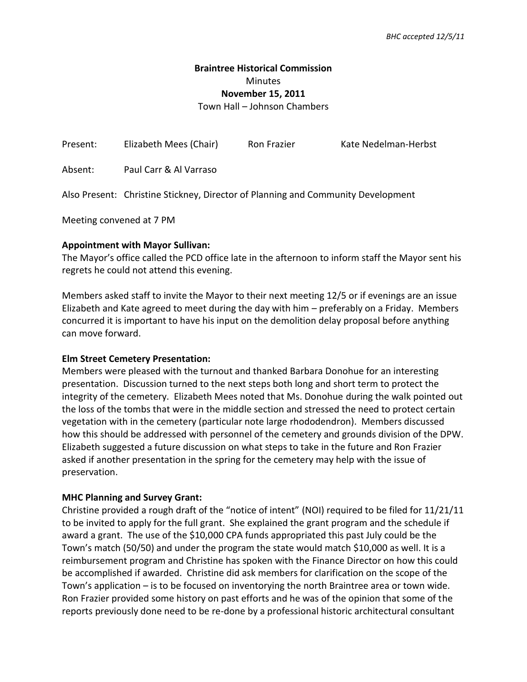## **Braintree Historical Commission**  Minutes **November 15, 2011** Town Hall – Johnson Chambers

| Present: | Elizabeth Mees (Chair)                                                           | Ron Frazier | Kate Nedelman-Herbst |
|----------|----------------------------------------------------------------------------------|-------------|----------------------|
| Absent:  | Paul Carr & Al Varraso                                                           |             |                      |
|          | Also Present: Christine Stickney, Director of Planning and Community Development |             |                      |

Meeting convened at 7 PM

### **Appointment with Mayor Sullivan:**

The Mayor's office called the PCD office late in the afternoon to inform staff the Mayor sent his regrets he could not attend this evening.

Members asked staff to invite the Mayor to their next meeting 12/5 or if evenings are an issue Elizabeth and Kate agreed to meet during the day with him – preferably on a Friday. Members concurred it is important to have his input on the demolition delay proposal before anything can move forward.

### **Elm Street Cemetery Presentation:**

Members were pleased with the turnout and thanked Barbara Donohue for an interesting presentation. Discussion turned to the next steps both long and short term to protect the integrity of the cemetery. Elizabeth Mees noted that Ms. Donohue during the walk pointed out the loss of the tombs that were in the middle section and stressed the need to protect certain vegetation with in the cemetery (particular note large rhododendron). Members discussed how this should be addressed with personnel of the cemetery and grounds division of the DPW. Elizabeth suggested a future discussion on what steps to take in the future and Ron Frazier asked if another presentation in the spring for the cemetery may help with the issue of preservation.

### **MHC Planning and Survey Grant:**

Christine provided a rough draft of the "notice of intent" (NOI) required to be filed for 11/21/11 to be invited to apply for the full grant. She explained the grant program and the schedule if award a grant. The use of the \$10,000 CPA funds appropriated this past July could be the Town's match (50/50) and under the program the state would match \$10,000 as well. It is a reimbursement program and Christine has spoken with the Finance Director on how this could be accomplished if awarded. Christine did ask members for clarification on the scope of the Town's application – is to be focused on inventorying the north Braintree area or town wide. Ron Frazier provided some history on past efforts and he was of the opinion that some of the reports previously done need to be re-done by a professional historic architectural consultant